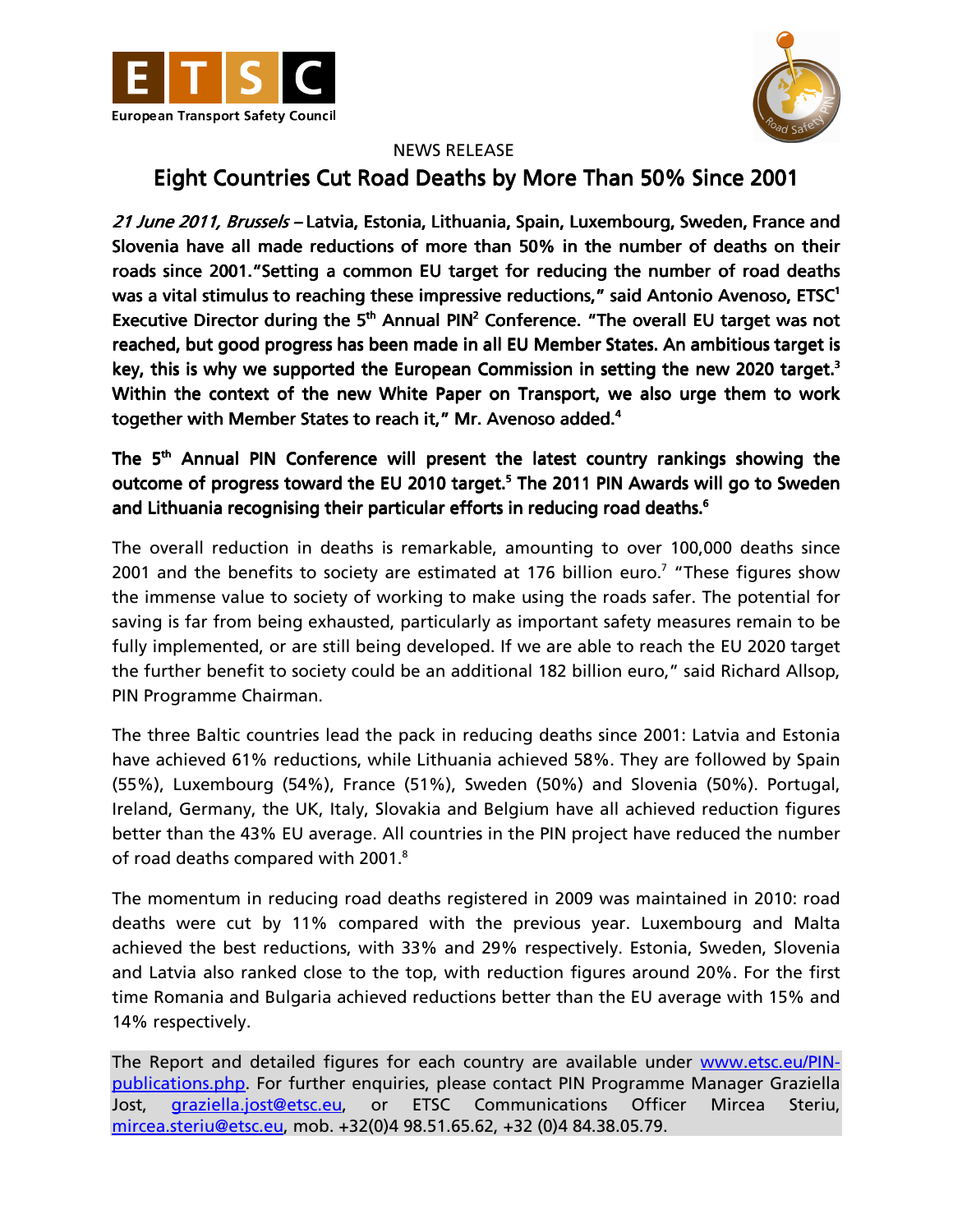



## NEWS RELEASE

## Eight Countries Cut Road Deaths by More Than 50% Since 2001

21 June 2011, Brussels - Latvia, Estonia, Lithuania, Spain, Luxembourg, Sweden, France and Slovenia have all made reductions of more than 50% in the number of deaths on their roads since 2001."Setting a common EU target for reducing the number of road deaths was a vital stimulus to reaching these impressive reductions," said Antonio Avenoso, ETSC<sup>1</sup> Executive Director during the  $5<sup>th</sup>$  Annual PIN<sup>2</sup> Conference. "The overall EU target was not reached, but good progress has been made in all EU Member States. An ambitious target is key, this is why we supported the European Commission in setting the new 2020 target.<sup>3</sup> Within the context of the new White Paper on Transport, we also urge them to work together with Member States to reach it," Mr. Avenoso added.<sup>4</sup>

## The 5<sup>th</sup> Annual PIN Conference will present the latest country rankings showing the outcome of progress toward the EU 2010 target.<sup>5</sup> The 2011 PIN Awards will go to Sweden and Lithuania recognising their particular efforts in reducing road deaths.<sup>6</sup>

The overall reduction in deaths is remarkable, amounting to over 100,000 deaths since 2001 and the benefits to society are estimated at 176 billion euro.<sup>7</sup> "These figures show the immense value to society of working to make using the roads safer. The potential for saving is far from being exhausted, particularly as important safety measures remain to be fully implemented, or are still being developed. If we are able to reach the EU 2020 target the further benefit to society could be an additional 182 billion euro," said Richard Allsop, PIN Programme Chairman.

The three Baltic countries lead the pack in reducing deaths since 2001: Latvia and Estonia have achieved 61% reductions, while Lithuania achieved 58%. They are followed by Spain (55%), Luxembourg (54%), France (51%), Sweden (50%) and Slovenia (50%). Portugal, Ireland, Germany, the UK, Italy, Slovakia and Belgium have all achieved reduction figures better than the 43% EU average. All countries in the PIN project have reduced the number of road deaths compared with 2001.<sup>8</sup>

The momentum in reducing road deaths registered in 2009 was maintained in 2010: road deaths were cut by 11% compared with the previous year. Luxembourg and Malta achieved the best reductions, with 33% and 29% respectively. Estonia, Sweden, Slovenia and Latvia also ranked close to the top, with reduction figures around 20%. For the first time Romania and Bulgaria achieved reductions better than the EU average with 15% and 14% respectively.

The Report and detailed figures for each country are available under www.etsc.eu/PINpublications.php. For further enquiries, please contact PIN Programme Manager Graziella Jost, graziella.jost@etsc.eu, or ETSC Communications Officer Mircea Steriu, mircea.steriu@etsc.eu, mob. +32(0)4 98.51.65.62, +32 (0)4 84.38.05.79.